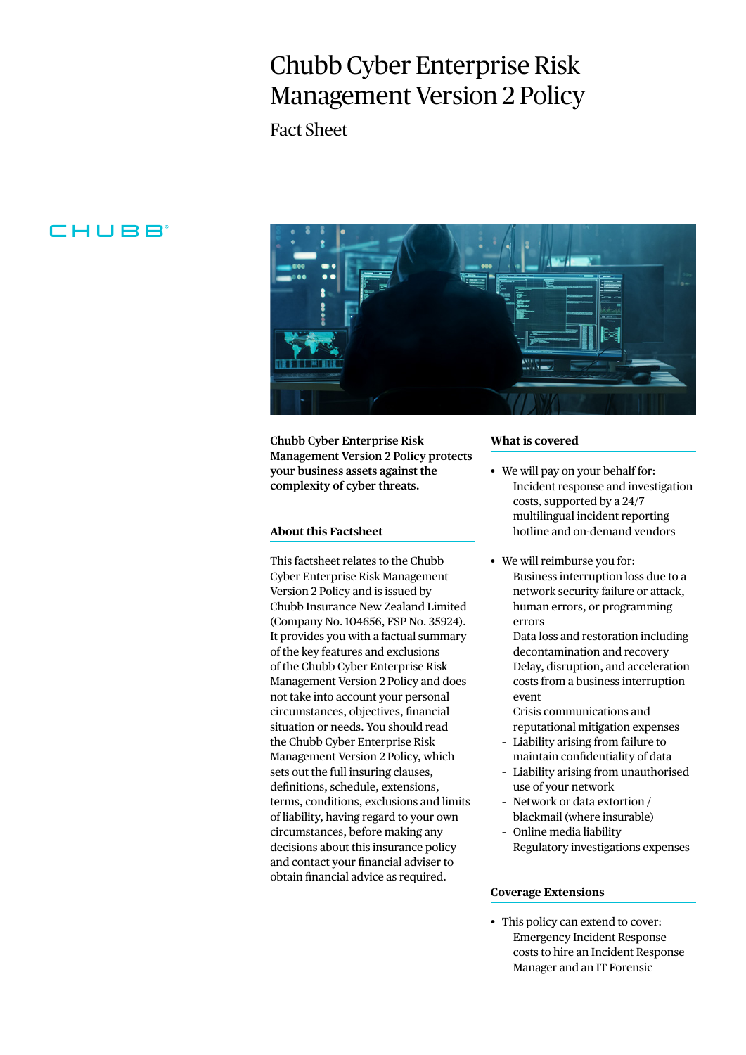# Chubb Cyber Enterprise Risk Management Version 2 Policy

Fact Sheet

# CHUBB



**Chubb Cyber Enterprise Risk Management Version 2 Policy protects your business assets against the complexity of cyber threats.**

# **About this Factsheet**

This factsheet relates to the Chubb Cyber Enterprise Risk Management Version 2 Policy and is issued by Chubb Insurance New Zealand Limited (Company No. 104656, FSP No. 35924). It provides you with a factual summary of the key features and exclusions of the Chubb Cyber Enterprise Risk Management Version 2 Policy and does not take into account your personal circumstances, objectives, financial situation or needs. You should read the Chubb Cyber Enterprise Risk Management Version 2 Policy, which sets out the full insuring clauses, definitions, schedule, extensions, terms, conditions, exclusions and limits of liability, having regard to your own circumstances, before making any decisions about this insurance policy and contact your financial adviser to obtain financial advice as required.

#### **What is covered**

- We will pay on your behalf for:
	- Incident response and investigation costs, supported by a 24/7 multilingual incident reporting hotline and on-demand vendors
- We will reimburse you for:
	- Business interruption loss due to a network security failure or attack, human errors, or programming errors
	- Data loss and restoration including decontamination and recovery
	- Delay, disruption, and acceleration costs from a business interruption event
	- Crisis communications and reputational mitigation expenses
	- Liability arising from failure to maintain confidentiality of data
	- Liability arising from unauthorised use of your network
	- Network or data extortion / blackmail (where insurable)
	- Online media liability
	- Regulatory investigations expenses

## **Coverage Extensions**

- This policy can extend to cover:
	- Emergency Incident Response costs to hire an Incident Response Manager and an IT Forensic